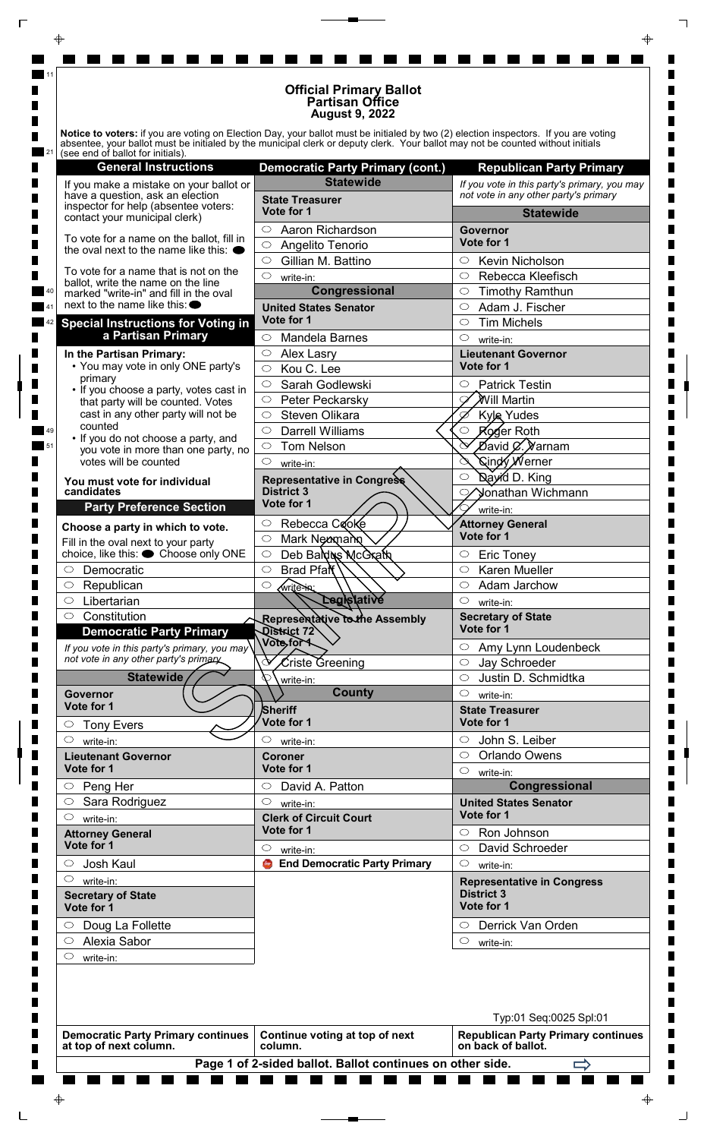|                                                                                             | <b>Official Primary Ballot</b><br><b>Partisan Office</b><br><b>August 9, 2022</b>                                                                                                                                                                                       |                                                                 |
|---------------------------------------------------------------------------------------------|-------------------------------------------------------------------------------------------------------------------------------------------------------------------------------------------------------------------------------------------------------------------------|-----------------------------------------------------------------|
| (see end of ballot for initials).                                                           | Notice to voters: if you are voting on Election Day, your ballot must be initialed by two (2) election inspectors. If you are voting<br>absentee, your ballot must be initialed by the municipal clerk or deputy clerk. Your ballot may not be counted without initials |                                                                 |
| <b>General Instructions</b>                                                                 | <b>Democratic Party Primary (cont.)</b>                                                                                                                                                                                                                                 | <b>Republican Party Primary</b>                                 |
| If you make a mistake on your ballot or                                                     | <b>Statewide</b>                                                                                                                                                                                                                                                        | If you vote in this party's primary, you may                    |
| have a question, ask an election<br>inspector for help (absentee voters:                    | <b>State Treasurer</b><br>Vote for 1                                                                                                                                                                                                                                    | not vote in any other party's primary                           |
| contact your municipal clerk)                                                               | $\circ$<br>Aaron Richardson                                                                                                                                                                                                                                             | <b>Statewide</b><br>Governor                                    |
| To vote for a name on the ballot, fill in<br>the oval next to the name like this: $\bullet$ | $\circ$<br>Angelito Tenorio                                                                                                                                                                                                                                             | Vote for 1                                                      |
|                                                                                             | Gillian M. Battino<br>$\circ$                                                                                                                                                                                                                                           | Kevin Nicholson<br>$\circ$                                      |
| To vote for a name that is not on the<br>ballot, write the name on the line                 | $\circ$<br>write-in:                                                                                                                                                                                                                                                    | Rebecca Kleefisch<br>$\circ$                                    |
| marked "write-in" and fill in the oval<br>next to the name like this: ●                     | Congressional                                                                                                                                                                                                                                                           | $\circ$<br><b>Timothy Ramthun</b>                               |
| <b>Special Instructions for Voting in</b>                                                   | <b>United States Senator</b><br>Vote for 1                                                                                                                                                                                                                              | Adam J. Fischer<br>$\circ$<br><b>Tim Michels</b><br>$\circ$     |
| a Partisan Primary                                                                          | $\circ$<br><b>Mandela Barnes</b>                                                                                                                                                                                                                                        | $\circ$<br>write-in:                                            |
| In the Partisan Primary:                                                                    | Alex Lasry<br>$\circ$                                                                                                                                                                                                                                                   | <b>Lieutenant Governor</b>                                      |
| • You may vote in only ONE party's                                                          | Kou C. Lee<br>$\circ$                                                                                                                                                                                                                                                   | Vote for 1                                                      |
| primary<br>• If you choose a party, votes cast in                                           | Sarah Godlewski<br>$\circ$                                                                                                                                                                                                                                              | <b>Patrick Testin</b><br>$\circ$                                |
| that party will be counted. Votes                                                           | $\circ$<br>Peter Peckarsky                                                                                                                                                                                                                                              | $\lambda$ Vill Martin                                           |
| cast in any other party will not be<br>counted                                              | Steven Olikara<br>$\circ$<br><b>Darrell Williams</b><br>$\circlearrowright$                                                                                                                                                                                             | <b>Kyle Yudes</b><br>Roger Roth<br>$\circ$                      |
| • If you do not choose a party, and                                                         | <b>Tom Nelson</b><br>$\circ$                                                                                                                                                                                                                                            | Øavid Ø. ∕Varnam                                                |
| you vote in more than one party, no<br>votes will be counted                                | $\circ$<br>write-in:                                                                                                                                                                                                                                                    | <b>Sindy Werner</b>                                             |
| You must vote for individual                                                                | Representative in Congress                                                                                                                                                                                                                                              | Dayid D. King<br>$\bigcirc$                                     |
| candidates                                                                                  | <b>District 3</b><br>Vote for 1                                                                                                                                                                                                                                         | Jonathan Wichmann                                               |
| <b>Party Preference Section</b>                                                             |                                                                                                                                                                                                                                                                         | write-in:                                                       |
| Choose a party in which to vote.                                                            | $\circ$<br>Rebecca Cooke<br>Mark Newmann<br>$\circ$                                                                                                                                                                                                                     | <b>Attorney General</b><br>Vote for 1                           |
| Fill in the oval next to your party<br>choice, like this: ● Choose only ONE                 | Deb Baldus McGrath<br>$\circ$                                                                                                                                                                                                                                           | <b>Eric Toney</b><br>$\circ$                                    |
| Democratic<br>$\circ$                                                                       | Brad Pfan<br>$\circ$                                                                                                                                                                                                                                                    | <b>Karen Mueller</b><br>$\circ$                                 |
| Republican<br>$\circ$                                                                       | $\circ$<br>write-in:                                                                                                                                                                                                                                                    | Adam Jarchow<br>$\circ$                                         |
| Libertarian<br>$\circ$                                                                      | Legislative                                                                                                                                                                                                                                                             | $\circ$<br>write-in:                                            |
| Constitution<br>$\circ$<br><b>Democratic Party Primary</b>                                  | Representative to the Assembly<br>District 72                                                                                                                                                                                                                           | <b>Secretary of State</b><br>Vote for 1                         |
| If you vote in this party's primary, you may $\sqrt{ }$                                     | Vote <sub>for</sub>                                                                                                                                                                                                                                                     | Amy Lynn Loudenbeck<br>O                                        |
| not vote in any other party's primary                                                       | ↷<br>$\mathcal L$ riste Greening                                                                                                                                                                                                                                        | $\circ$<br>Jay Schroeder                                        |
| <b>Statewide</b>                                                                            | $\cal C$<br>write-in:                                                                                                                                                                                                                                                   | Justin D. Schmidtka<br>$\circ$                                  |
| Governor<br>Vote for 1                                                                      | <b>County</b>                                                                                                                                                                                                                                                           | $\circ$<br>write-in:                                            |
| <b>Tony Evers</b><br>$\circ$                                                                | Sheriff<br>Vote for 1                                                                                                                                                                                                                                                   | <b>State Treasurer</b><br>Vote for 1                            |
| $\circ$<br>write-in:                                                                        | O<br>write-in:                                                                                                                                                                                                                                                          | John S. Leiber<br>$\circ$                                       |
| <b>Lieutenant Governor</b>                                                                  | <b>Coroner</b>                                                                                                                                                                                                                                                          | Orlando Owens<br>$\circ$                                        |
| Vote for 1                                                                                  | Vote for 1                                                                                                                                                                                                                                                              | $\circ$<br>write-in:                                            |
| Peng Her<br>$\circ$                                                                         | $\circ$<br>David A. Patton                                                                                                                                                                                                                                              | Congressional                                                   |
| $\circ$<br>Sara Rodriguez<br>$\circ$                                                        | $\circ$<br>write-in:<br><b>Clerk of Circuit Court</b>                                                                                                                                                                                                                   | <b>United States Senator</b><br>Vote for 1                      |
| write-in:<br><b>Attorney General</b>                                                        | Vote for 1                                                                                                                                                                                                                                                              | Ron Johnson<br>$\circ$                                          |
| Vote for 1                                                                                  | $\circlearrowright$<br>write-in:                                                                                                                                                                                                                                        | David Schroeder<br>$\circ$                                      |
| Josh Kaul<br>$\circlearrowright$                                                            | $\bullet$<br><b>End Democratic Party Primary</b>                                                                                                                                                                                                                        | $\circ$<br>write-in:                                            |
| $\circ$<br>write-in:                                                                        |                                                                                                                                                                                                                                                                         | <b>Representative in Congress</b>                               |
| <b>Secretary of State</b><br>Vote for 1                                                     |                                                                                                                                                                                                                                                                         | <b>District 3</b><br>Vote for 1                                 |
| Doug La Follette<br>$\circ$                                                                 |                                                                                                                                                                                                                                                                         | Derrick Van Orden<br>$\circ$                                    |
| Alexia Sabor<br>$\circ$<br>$\circ$<br>write-in:                                             |                                                                                                                                                                                                                                                                         | $\circ$<br>write-in:                                            |
|                                                                                             |                                                                                                                                                                                                                                                                         |                                                                 |
|                                                                                             |                                                                                                                                                                                                                                                                         | Typ:01 Seq:0025 Spl:01                                          |
| <b>Democratic Party Primary continues</b>                                                   | Continue voting at top of next                                                                                                                                                                                                                                          | <b>Republican Party Primary continues</b><br>on back of ballot. |

 $\overline{\Gamma}$ 

׀ֺֺֺ֕֝֝֝

|<br>|<br>|

 $\Rightarrow$ 

 $\Box$ 

|                                                                                               |                                                           | Typ:01 Seq:0025 Spl:01                                          |  |
|-----------------------------------------------------------------------------------------------|-----------------------------------------------------------|-----------------------------------------------------------------|--|
| Democratic Party Primary continues   Continue voting at top of next<br>at top of next column. | column.                                                   | <b>Republican Party Primary continues</b><br>on back of ballot. |  |
|                                                                                               | Page 1 of 2-sided ballot. Ballot continues on other side. |                                                                 |  |
| .<br><b>Contract Contract</b>                                                                 | .                                                         |                                                                 |  |

 $\Rightarrow$ 

 $\begin{array}{c} \begin{array}{c} \begin{array}{c} \end{array} \\ \begin{array}{c} \end{array} \end{array} \end{array}$ 

 $\begin{array}{c} \hline \end{array}$ 

 $\Box$